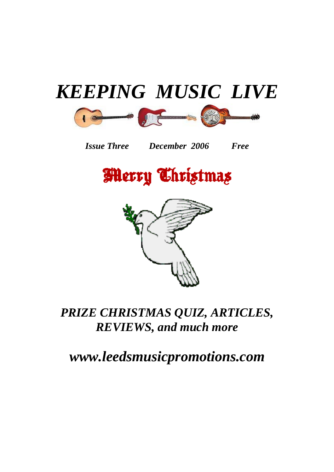## *K[EEPIN](http://www.fender.com/products/search.php?partno=0953200021)[G MUS](http://www.fender.com/products/search.php?partno=0117430725)[IC LIV](http://www.fender.com/products/search.php?partno=0955005032)E*



*Issue Three December 2006 Free* 





*PRIZE CHRISTMAS QUIZ, ARTICLES, REVIEWS, and much more*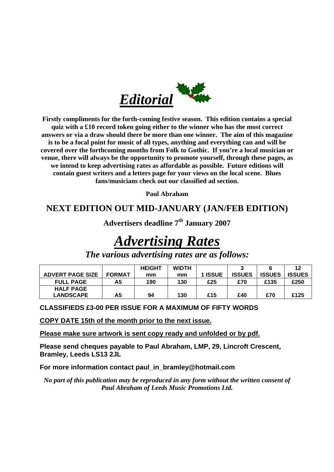

**Firstly compliments for the forth-coming festive season. This edition contains a special quiz with a £10 record token going either to the winner who has the most correct answers or via a draw should there be more than one winner. The aim of this magazine is to be a focal point for music of all types, anything and everything can and will be covered over the forthcoming months from Folk to Gothic. If you're a local musician or venue, there will always be the opportunity to promote yourself, through these pages, as we intend to keep advertising rates as affordable as possible. Future editions will contain guest writers and a letters page for your views on the local scene. Blues fans/musicians check out our classified ad section.** 

**Paul Abraham** 

#### **NEXT EDITION OUT MID-JANUARY (JAN/FEB EDITION)**

**Advertisers deadline 7th January 2007** 

## *Advertising Rates*

|                         |               | <b>HEIGHT</b> | <b>WIDTH</b> |         |               |               | 12            |
|-------------------------|---------------|---------------|--------------|---------|---------------|---------------|---------------|
| <b>ADVERT PAGE SIZE</b> | <b>FORMAT</b> | mm            | mm           | 1 ISSUE | <b>ISSUES</b> | <b>ISSUES</b> | <b>ISSUES</b> |
| <b>FULL PAGE</b>        | А5            | 190           | 130          | £25     | £70           | £135          | £250          |
| <b>HALF PAGE</b>        |               |               |              |         |               |               |               |
| <b>LANDSCAPE</b>        | А5            | 94            | 130          | £15     | £40           | £70           | £125          |

*The various advertising rates are as follows:* 

**CLASSIFIEDS £3-00 PER ISSUE FOR A MAXIMUM OF FIFTY WORDS** 

**COPY DATE 15th of the month prior to the next issue.**

**Please make sure artwork is sent copy ready and unfolded or by pdf.**

**Please send cheques payable to Paul Abraham, LMP, 29, Lincroft Crescent, Bramley, Leeds LS13 2JL** 

**For more information contact paul\_in\_bramley@hotmail.com** 

*No part of this publication may be reproduced in any form without the written consent of Paul Abraham of Leeds Music Promotions Ltd.*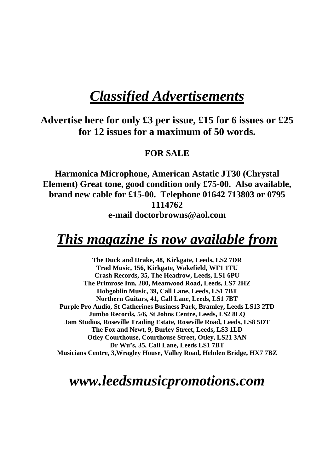#### *Classified Advertisements*

**Advertise here for only £3 per issue, £15 for 6 issues or £25 for 12 issues for a maximum of 50 words.** 

#### **FOR SALE**

**Harmonica Microphone, American Astatic JT30 (Chrystal Element) Great tone, good condition only £75-00. Also available, brand new cable for £15-00. Telephone 01642 713803 or 0795 1114762 e-mail doctorbrowns@aol.com** 

#### *This magazine is now available from*

**The Duck and Drake, 48, Kirkgate, Leeds, LS2 7DR Trad Music, 156, Kirkgate, Wakefield, WF1 1TU Crash Records, 35, The Headrow, Leeds, LS1 6PU The Primrose Inn, 280, Meanwood Road, Leeds, LS7 2HZ Hobgoblin Music, 39, Call Lane, Leeds, LS1 7BT Northern Guitars, 41, Call Lane, Leeds, LS1 7BT Purple Pro Audio, St Catherines Business Park, Bramley, Leeds LS13 2TD Jumbo Records, 5/6, St Johns Centre, Leeds, LS2 8LQ Jam Studios, Roseville Trading Estate, Roseville Road, Leeds, LS8 5DT The Fox and Newt, 9, Burley Street, Leeds, LS3 1LD Otley Courthouse, Courthouse Street, Otley, LS21 3AN Dr Wu's, 35, Call Lane, Leeds LS1 7BT Musicians Centre, 3,Wragley House, Valley Road, Hebden Bridge, HX7 7BZ**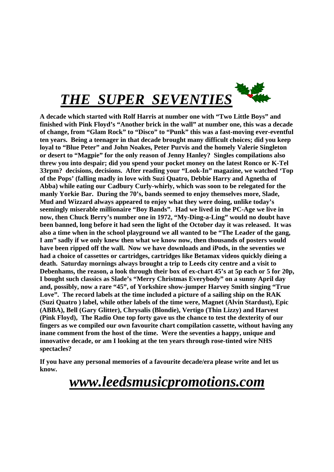

**A decade which started with Rolf Harris at number one with "Two Little Boys" and finished with Pink Floyd's "Another brick in the wall" at number one, this was a decade of change, from "Glam Rock" to "Disco" to "Punk" this was a fast-moving ever-eventful ten years. Being a teenager in that decade brought many difficult choices; did you keep loyal to "Blue Peter" and John Noakes, Peter Purvis and the homely Valerie Singleton or desert to "Magpie" for the only reason of Jenny Hanley? Singles compilations also threw you into despair; did you spend your pocket money on the latest Ronco or K-Tel 33rpm? decisions, decisions. After reading your "Look-In" magazine, we watched 'Top of the Pops' (falling madly in love with Suzi Quatro, Debbie Harry and Agnetha of Abba) while eating our Cadbury Curly-whirly, which was soon to be relegated for the manly Yorkie Bar. During the 70's, bands seemed to enjoy themselves more, Slade, Mud and Wizzard always appeared to enjoy what they were doing, unlike today's seemingly miserable millionaire "Boy Bands". Had we lived in the PC-Age we live in now, then Chuck Berry's number one in 1972, "My-Ding-a-Ling" would no doubt have been banned, long before it had seen the light of the October day it was released. It was also a time when in the school playground we all wanted to be "The Leader of the gang, I am" sadly if we only knew then what we know now, then thousands of posters would have been ripped off the wall. Now we have downloads and iPods, in the seventies we had a choice of cassettes or cartridges, cartridges like Betamax videos quickly dieing a death. Saturday mornings always brought a trip to Leeds city centre and a visit to Debenhams, the reason, a look through their box of ex-chart 45's at 5p each or 5 for 20p, I bought such classics as Slade's "Merry Christmas Everybody" on a sunny April day and, possibly, now a rare "45", of Yorkshire show-jumper Harvey Smith singing "True Love". The record labels at the time included a picture of a sailing ship on the RAK (Suzi Quatro ) label, while other labels of the time were, Magnet (Alvin Stardust), Epic (ABBA), Bell (Gary Glitter), Chrysalis (Blondie), Vertigo (Thin Lizzy) and Harvest (Pink Floyd), The Radio One top forty gave us the chance to test the dexterity of our fingers as we compiled our own favourite chart compilation cassette, without having any inane comment from the host of the time. Were the seventies a happy, unique and innovative decade, or am I looking at the ten years through rose-tinted wire NHS spectacles?** 

**If you have any personal memories of a favourite decade/era please write and let us know.**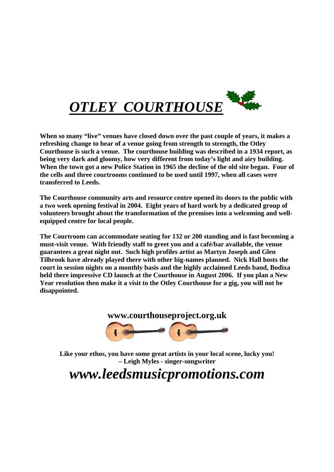

**When so many "live" venues have closed down over the past couple of years, it makes a refreshing change to hear of a venue going from strength to strength, the Otley Courthouse is such a venue. The courthouse building was described in a 1934 report, as being very dark and gloomy, how very different from today's light and airy building. When the town got a new Police Station in 1965 the decline of the old site began. Four of the cells and three courtrooms continued to be used until 1997, when all cases were transferred to Leeds.** 

**The Courthouse community arts and resource centre opened its doors to the public with a two week opening festival in 2004. Eight years of hard work by a dedicated group of volunteers brought about the transformation of the premises into a welcoming and wellequipped centre for local people.** 

**The Courtroom can accommodate seating for 132 or 200 standing and is fast becoming a must-visit venue. With friendly staff to greet you and a café/bar available, the venue guarantees a great night out. Such high profiles artist as Martyn Joseph and Glen Tilbrook have already played there with other big-names planned. Nick Hall hosts the court in session nights on a monthly basis and the highly acclaimed Leeds band, Bodixa held there impressive CD launch at the Courthouse in August 2006. If you plan a New Year resolution then make it a visit to the Otley Courthouse for a gig, you will not be disappointed.** 



**Like your ethos, you have some great artists in your local scene, lucky you! – Leigh Myles - singer-songwriter**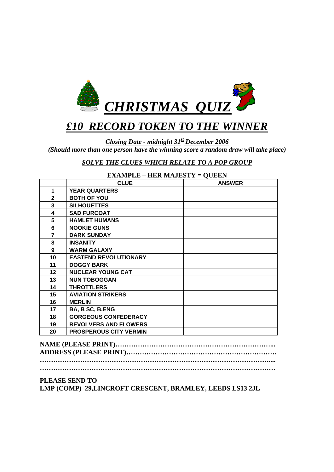

#### *£10 RECORD TOKEN TO THE WINNER*

*Closing Date - midnight 31st December 2006 (Should more than one person have the winning score a random draw will take place)* 

*SOLVE THE CLUES WHICH RELATE TO A POP GROUP*

|                | ЕЖили ЕЕ – ПЕК МИЮЕРТ I – ОСЕЕЛ<br><b>CLUE</b> | <b>ANSWER</b> |
|----------------|------------------------------------------------|---------------|
| 1              | <b>YEAR QUARTERS</b>                           |               |
| $\mathbf{2}$   | <b>BOTH OF YOU</b>                             |               |
| 3              | <b>SILHOUETTES</b>                             |               |
| 4              | <b>SAD FURCOAT</b>                             |               |
| 5              | <b>HAMLET HUMANS</b>                           |               |
| 6              | <b>NOOKIE GUNS</b>                             |               |
| $\overline{7}$ | <b>DARK SUNDAY</b>                             |               |
| 8              | <b>INSANITY</b>                                |               |
| 9              | <b>WARM GALAXY</b>                             |               |
| 10             | <b>EASTEND REVOLUTIONARY</b>                   |               |
| 11             | <b>DOGGY BARK</b>                              |               |
| 12             | <b>NUCLEAR YOUNG CAT</b>                       |               |
| 13             | <b>NUN TOBOGGAN</b>                            |               |
| 14             | <b>THROTTLERS</b>                              |               |
| 15             | <b>AVIATION STRIKERS</b>                       |               |
| 16             | <b>MERLIN</b>                                  |               |
| 17             | BA, B SC, B.ENG                                |               |
| 18             | <b>GORGEOUS CONFEDERACY</b>                    |               |
| 19             | <b>REVOLVERS AND FLOWERS</b>                   |               |
| 20             | <b>PROSPEROUS CITY VERMIN</b>                  |               |

#### **EXAMPLE – HER MAJESTY = QUEEN**

**NAME (PLEASE PRINT)……………………………………………………………... ADDRESS (PLEASE PRINT)…………………………………………………………. ………………………………………………………………………………………….... ……………………………………………………………………………………………** 

#### **PLEASE SEND TO**

**LMP (COMP) 29,LINCROFT CRESCENT, BRAMLEY, LEEDS LS13 2JL**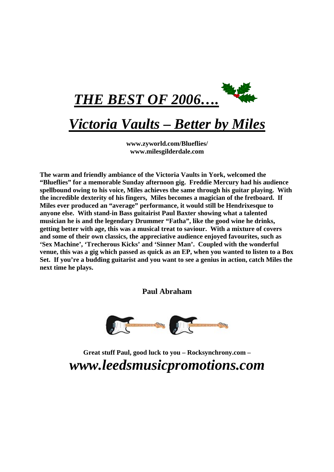

#### *Victoria Vaults – Better by Miles*

**[www.zyworld.com/Blueflies/](http://www.zyworld.com/Blueflies/) [www.milesgilderdale.com](http://www.milesgilderdale.com/)**

**The warm and friendly ambiance of the Victoria Vaults in York, welcomed the "Blueflies" for a memorable Sunday afternoon gig. Freddie Mercury had his audience spellbound owing to his voice, Miles achieves the same through his guitar playing. With the incredible dexterity of his fingers, Miles becomes a magician of the fretboard. If Miles ever produced an "average" performance, it would still be Hendrixesque to anyone else. With stand-in Bass guitairist Paul Baxter showing what a talented musician he is and the legendary Drummer "Fatha", like the good wine he drinks, getting better with age, this was a musical treat to saviour. With a mixture of covers and some of their own classics, the appreciative audience enjoyed favourites, such as 'Sex Machine', 'Trecherous Kicks' and 'Sinner Man'. Coupled with the wonderful venue, this was a gig which passed as quick as an EP, when you wanted to listen to a Box Set. If you're a budding guitarist and you want to see a genius in action, catch Miles the next time he plays.** 

**Paul Abraham** 



**Great stuff Paul, good luck to you – Rocksynchrony.com –**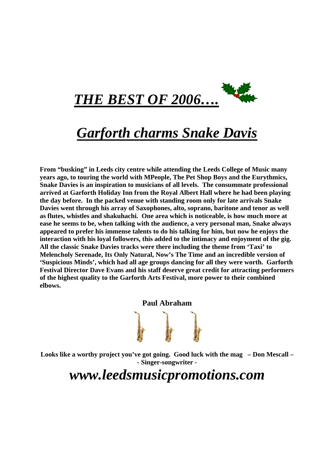

#### *Garforth charms Snake Davis*

**From "busking" in Leeds city centre while attending the Leeds College of Music many years ago, to touring the world with MPeople, The Pet Shop Boys and the Eurythmics, Snake Davies is an inspiration to musicians of all levels. The consummate professional arrived at Garforth Holiday Inn from the Royal Albert Hall where he had been playing the day before. In the packed venue with standing room only for late arrivals Snake Davies went through his array of Saxophones, alto, soprano, baritone and tenor as well as flutes, whistles and shakuhachi. One area which is noticeable, is how much more at ease he seems to be, when talking with the audience, a very personal man, Snake always appeared to prefer his immense talents to do his talking for him, but now he enjoys the interaction with his loyal followers, this added to the intimacy and enjoyment of the gig. All the classic Snake Davies tracks were there including the theme from 'Taxi' to Melencholy Serenade, Its Only Natural, Now's The Time and an incredible version of 'Suspicious Minds', which had all age groups dancing for all they were worth. Garforth Festival Director Dave Evans and his staff deserve great credit for attracting performers of the highest quality to the Garforth Arts Festival, more power to their combined elbows.** 

**Paul Abraham** 

**Looks like a worthy project you've got going. Good luck with the mag – Don Mescall – - Singer-songwriter -**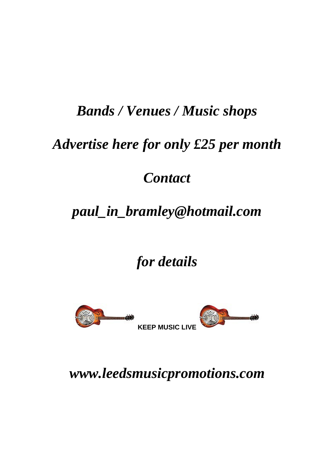### *Bands / Venues / Music shops*

## *Advertise here for only £25 per month*

#### *Contact*

## *[paul\\_in\\_bramley@hotmail.com](mailto:paul_in_bramley@hotmail.com)*

*for details* 



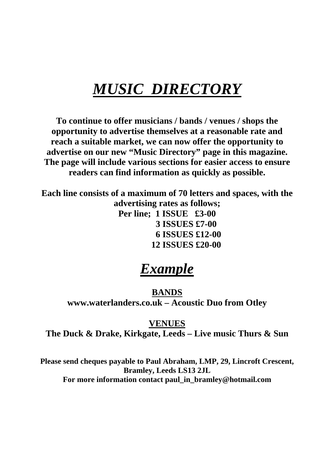## *MUSIC DIRECTORY*

**To continue to offer musicians / bands / venues / shops the opportunity to advertise themselves at a reasonable rate and reach a suitable market, we can now offer the opportunity to advertise on our new "Music Directory" page in this magazine. The page will include various sections for easier access to ensure readers can find information as quickly as possible.** 

**Each line consists of a maximum of 70 letters and spaces, with the advertising rates as follows; Per line; 1 ISSUE £3-00 3 ISSUES £7-00 6 ISSUES £12-00 12 ISSUES £20-00** 

### *Example*

**BANDS [www.waterlanders.co.uk](http://www.waterlanders.co.uk/) – Acoustic Duo from Otley** 

#### **VENUES**

**The Duck & Drake, Kirkgate, Leeds – Live music Thurs & Sun** 

**Please send cheques payable to Paul Abraham, LMP, 29, Lincroft Crescent, Bramley, Leeds LS13 2JL For more information contact [paul\\_in\\_bramley@hotmail.com](mailto:paul_in_bramley@hotmail.com)**